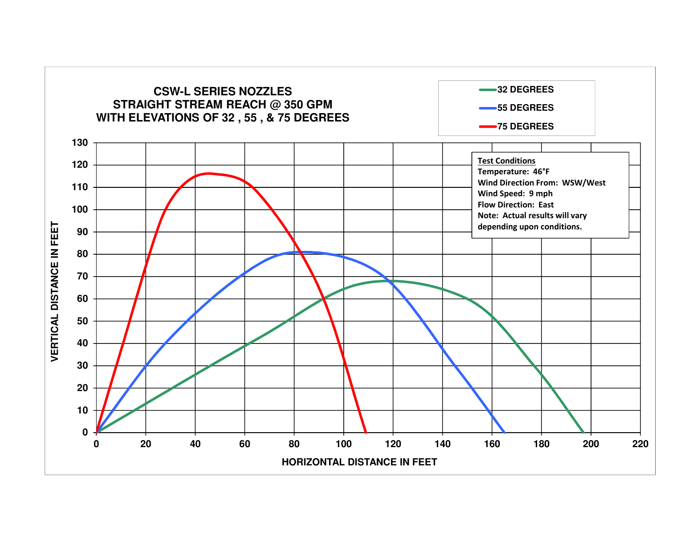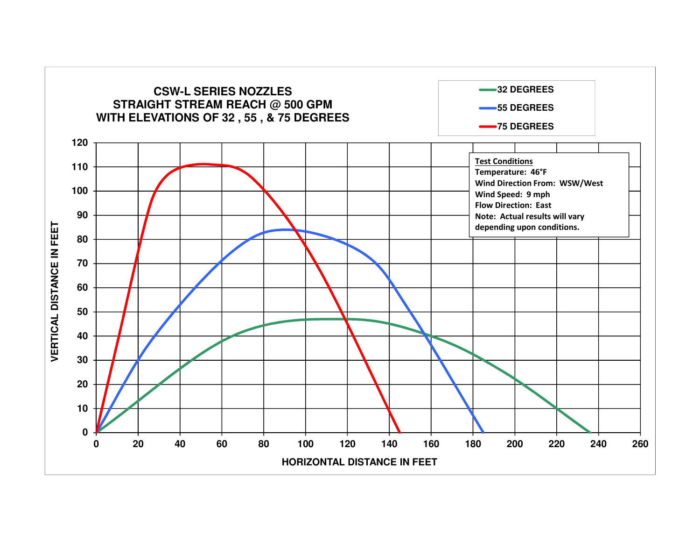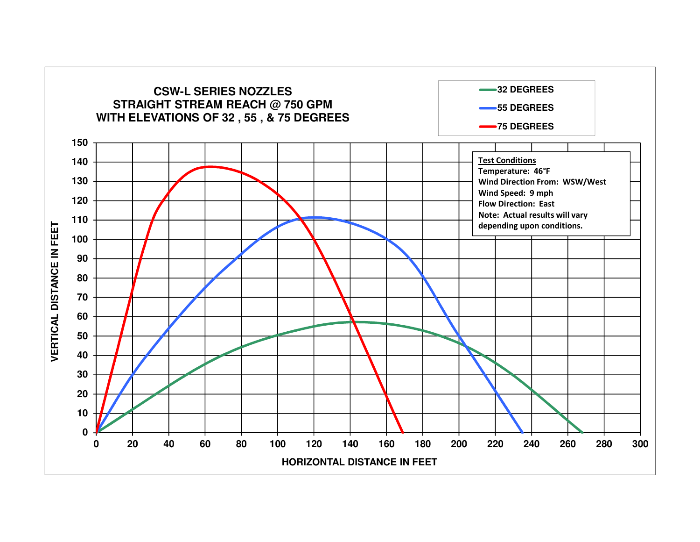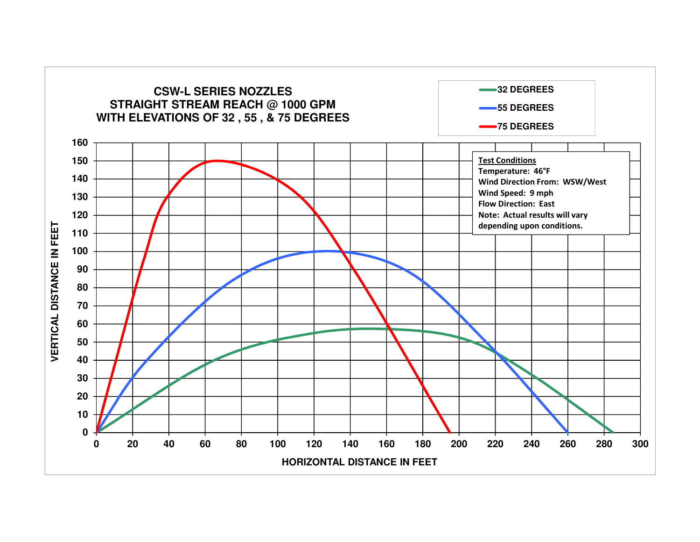